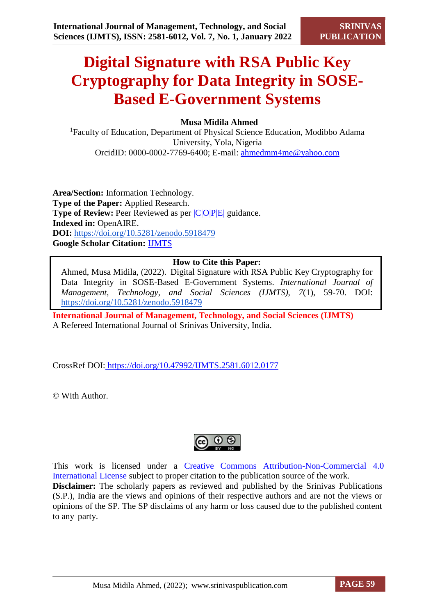# **Digital Signature with RSA Public Key Cryptography for Data Integrity in SOSE-Based E-Government Systems**

# **Musa Midila Ahmed**

<sup>1</sup>Faculty of Education, Department of Physical Science Education, Modibbo Adama University, Yola, Nigeria OrcidID: [0000-0002-7769-6400;](https://orcid.org/0000-0002-7769-6400) E-mail: ahmedmm4me@yahoo.com

**Area/Section:** Information Technology. **Type of the Paper:** Applied Research. **Type of Review:** Peer Reviewed as per  $|C|O||P|E|$  guidance. **Indexed in:** OpenAIRE. **DOI:** <https://doi.org/10.5281/zenodo.5918479> **Google Scholar Citation:** [IJMTS](https://scholar.google.com/citations?user=bphF0BQAAAAJ)

# **How to Cite this Paper:**

Ahmed, Musa Midila, (2022). Digital Signature with RSA Public Key Cryptography for Data Integrity in SOSE-Based E-Government Systems. *International Journal of Management, Technology, and Social Sciences (IJMTS), 7*(1), 59-70. DOI: <https://doi.org/10.5281/zenodo.5918479>

**International Journal of Management, Technology, and Social Sciences (IJMTS)** A Refereed International Journal of Srinivas University, India.

CrossRef DOI: [https://doi.org/10.47992/IJMTS.2581.6012.0177](https://search.crossref.org/?q=10.47992%2FIJMTS.2581.6012.0177&from_ui=yes)

© With Author.



This work is licensed under a Creative Commons Attribution-Non-Commercial 4.0 International License subject to proper citation to the publication source of the work. **Disclaimer:** The scholarly papers as reviewed and published by the Srinivas Publications (S.P.), India are the views and opinions of their respective authors and are not the views or opinions of the SP. The SP disclaims of any harm or loss caused due to the published content to any party.

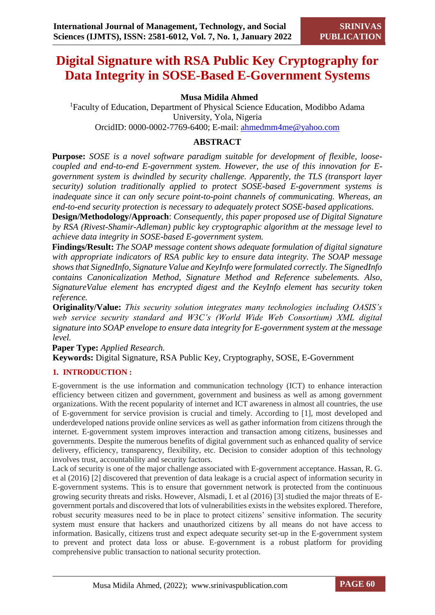# **Digital Signature with RSA Public Key Cryptography for Data Integrity in SOSE-Based E-Government Systems**

# **Musa Midila Ahmed**

<sup>1</sup>Faculty of Education, Department of Physical Science Education, Modibbo Adama University, Yola, Nigeria OrcidID: [0000-0002-7769-6400;](https://orcid.org/0000-0002-7769-6400) E-mail: ahmedmm4me@yahoo.com

# **ABSTRACT**

**Purpose:** *SOSE is a novel software paradigm suitable for development of flexible, loosecoupled and end-to-end E-government system. However, the use of this innovation for Egovernment system is dwindled by security challenge. Apparently, the TLS (transport layer security) solution traditionally applied to protect SOSE-based E-government systems is inadequate since it can only secure point-to-point channels of communicating. Whereas, an end-to-end security protection is necessary to adequately protect SOSE-based applications.*

**Design/Methodology/Approach**: *Consequently, this paper proposed use of Digital Signature by RSA (Rivest-Shamir-Adleman) public key cryptographic algorithm at the message level to achieve data integrity in SOSE-based E-government system.* 

**Findings/Result:** *The SOAP message content shows adequate formulation of digital signature with appropriate indicators of RSA public key to ensure data integrity. The SOAP message shows that SignedInfo, Signature Value and KeyInfo were formulated correctly. The SignedInfo contains Canonicalization Method, Signature Method and Reference subelements. Also, SignatureValue element has encrypted digest and the KeyInfo element has security token reference.* 

**Originality/Value:** *This security solution integrates many technologies including OASIS's web service security standard and W3C's (World Wide Web Consortium) XML digital signature into SOAP envelope to ensure data integrity for E-government system at the message level.* 

**Paper Type:** *Applied Research.* 

**Keywords:** Digital Signature, RSA Public Key, Cryptography, SOSE, E-Government

# **1. INTRODUCTION :**

E-government is the use information and communication technology (ICT) to enhance interaction efficiency between citizen and government, government and business as well as among government organizations. With the recent popularity of internet and ICT awareness in almost all countries, the use of E-government for service provision is crucial and timely. According to [1], most developed and underdeveloped nations provide online services as well as gather information from citizens through the internet. E-government system improves interaction and transaction among citizens, businesses and governments. Despite the numerous benefits of digital government such as enhanced quality of service delivery, efficiency, transparency, flexibility, etc. Decision to consider adoption of this technology involves trust, accountability and security factors.

Lack of security is one of the major challenge associated with E-government acceptance. Hassan, R. G. et al (2016) [2] discovered that prevention of data leakage is a crucial aspect of information security in E-government systems. This is to ensure that government network is protected from the continuous growing security threats and risks. However, Alsmadi, I. et al (2016) [3] studied the major threats of Egovernment portals and discovered that lots of vulnerabilities exists in the websites explored. Therefore, robust security measures need to be in place to protect citizens' sensitive information. The security system must ensure that hackers and unauthorized citizens by all means do not have access to information. Basically, citizens trust and expect adequate security set-up in the E-government system to prevent and protect data loss or abuse. E-government is a robust platform for providing comprehensive public transaction to national security protection.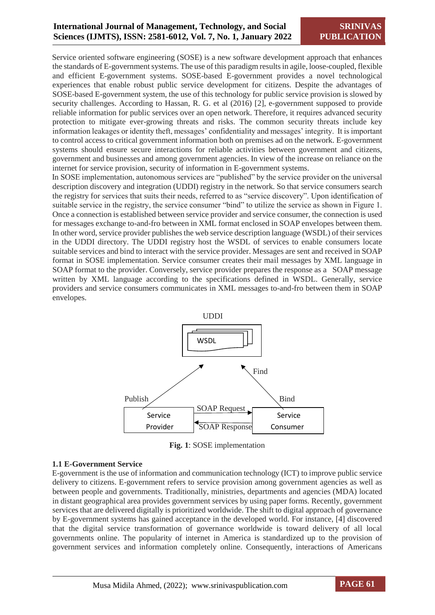Service oriented software engineering (SOSE) is a new software development approach that enhances the standards of E-government systems. The use of this paradigm results in agile, loose-coupled, flexible and efficient E-government systems. SOSE-based E-government provides a novel technological experiences that enable robust public service development for citizens. Despite the advantages of SOSE-based E-government system, the use of this technology for public service provision is slowed by security challenges. According to Hassan, R. G. et al (2016) [2], e-government supposed to provide reliable information for public services over an open network. Therefore, it requires advanced security protection to mitigate ever-growing threats and risks. The common security threats include key information leakages or identity theft, messages' confidentiality and messages' integrity. It is important to control access to critical government information both on premises ad on the network. E-government systems should ensure secure interactions for reliable activities between government and citizens, government and businesses and among government agencies. In view of the increase on reliance on the internet for service provision, security of information in E-government systems.

In SOSE implementation, autonomous services are "published" by the service provider on the universal description discovery and integration (UDDI) registry in the network. So that service consumers search the registry for services that suits their needs, referred to as "service discovery". Upon identification of suitable service in the registry, the service consumer "bind" to utilize the service as shown in Figure 1. Once a connection is established between service provider and service consumer, the connection is used for messages exchange to-and-fro between in XML format enclosed in SOAP envelopes between them. In other word, service provider publishes the web service description language (WSDL) of their services in the UDDI directory. The UDDI registry host the WSDL of services to enable consumers locate suitable services and bind to interact with the service provider. Messages are sent and received in SOAP format in SOSE implementation. Service consumer creates their mail messages by XML language in SOAP format to the provider. Conversely, service provider prepares the response as a SOAP message written by XML language according to the specifications defined in WSDL. Generally, service providers and service consumers communicates in XML messages to-and-fro between them in SOAP envelopes.



**Fig. 1**: SOSE implementation

# **1.1 E-Government Service**

E-government is the use of information and communication technology (ICT) to improve public service delivery to citizens. E-government refers to service provision among government agencies as well as between people and governments. Traditionally, ministries, departments and agencies (MDA) located in distant geographical area provides government services by using paper forms. Recently, government services that are delivered digitally is prioritized worldwide. The shift to digital approach of governance by E-government systems has gained acceptance in the developed world. For instance, [4] discovered that the digital service transformation of governance worldwide is toward delivery of all local governments online. The popularity of internet in America is standardized up to the provision of government services and information completely online. Consequently, interactions of Americans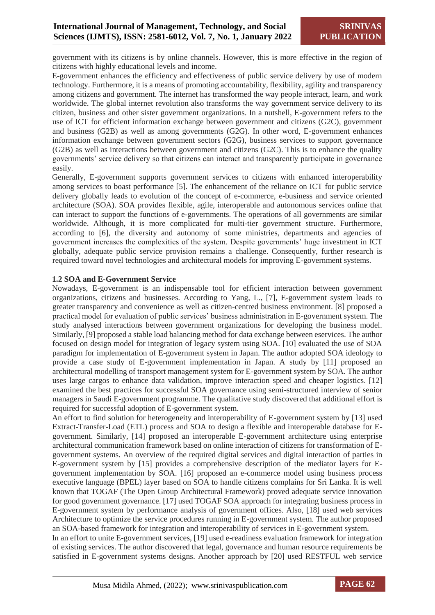government with its citizens is by online channels. However, this is more effective in the region of citizens with highly educational levels and income.

E-government enhances the efficiency and effectiveness of public service delivery by use of modern technology. Furthermore, it is a means of promoting accountability, flexibility, agility and transparency among citizens and government. The internet has transformed the way people interact, learn, and work worldwide. The global internet revolution also transforms the way government service delivery to its citizen, business and other sister government organizations. In a nutshell, E-government refers to the use of ICT for efficient information exchange between government and citizens (G2C), government and business (G2B) as well as among governments (G2G). In other word, E-government enhances information exchange between government sectors (G2G), business services to support governance (G2B) as well as interactions between government and citizens (G2C). This is to enhance the quality governments' service delivery so that citizens can interact and transparently participate in governance easily.

Generally, E-government supports government services to citizens with enhanced interoperability among services to boast performance [5]. The enhancement of the reliance on ICT for public service delivery globally leads to evolution of the concept of e-commerce, e-business and service oriented architecture (SOA). SOA provides flexible, agile, interoperable and autonomous services online that can interact to support the functions of e-governments. The operations of all governments are similar worldwide. Although, it is more complicated for multi-tier government structure. Furthermore, according to [6], the diversity and autonomy of some ministries, departments and agencies of government increases the complexities of the system. Despite governments' huge investment in ICT globally, adequate public service provision remains a challenge. Consequently, further research is required toward novel technologies and architectural models for improving E-government systems.

#### **1.2 SOA and E-Government Service**

Nowadays, E-government is an indispensable tool for efficient interaction between government organizations, citizens and businesses. According to Yang, L., [7], E-government system leads to greater transparency and convenience as well as citizen-centred business environment. [8] proposed a practical model for evaluation of public services' business administration in E-government system. The study analysed interactions between government organizations for developing the business model. Similarly, [9] proposed a stable load balancing method for data exchange between eservices. The author focused on design model for integration of legacy system using SOA. [10] evaluated the use of SOA paradigm for implementation of E-government system in Japan. The author adopted SOA ideology to provide a case study of E-government implementation in Japan. A study by [11] proposed an architectural modelling of transport management system for E-government system by SOA. The author uses large cargos to enhance data validation, improve interaction speed and cheaper logistics. [12] examined the best practices for successful SOA governance using semi-structured interview of senior managers in Saudi E-government programme. The qualitative study discovered that additional effort is required for successful adoption of E-government system.

An effort to find solution for heterogeneity and interoperability of E-government system by [13] used Extract-Transfer-Load (ETL) process and SOA to design a flexible and interoperable database for Egovernment. Similarly, [14] proposed an interoperable E-government architecture using enterprise architectural communication framework based on online interaction of citizens for transformation of Egovernment systems. An overview of the required digital services and digital interaction of parties in E-government system by [15] provides a comprehensive description of the mediator layers for Egovernment implementation by SOA. [16] proposed an e-commerce model using business process executive language (BPEL) layer based on SOA to handle citizens complains for Sri Lanka. It is well known that TOGAF (The Open Group Architectural Framework) proved adequate service innovation for good government governance. [17] used TOGAF SOA approach for integrating business process in E-government system by performance analysis of government offices. Also, [18] used web services Architecture to optimize the service procedures running in E-government system. The author proposed an SOA-based framework for integration and interoperability of services in E-government system.

In an effort to unite E-government services, [19] used e-readiness evaluation framework for integration of existing services. The author discovered that legal, governance and human resource requirements be satisfied in E-government systems designs. Another approach by [20] used RESTFUL web service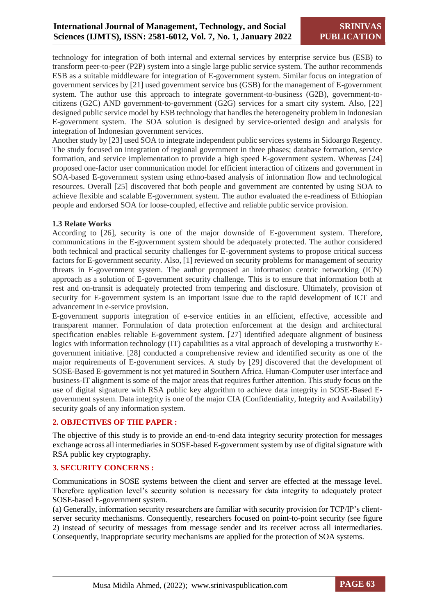technology for integration of both internal and external services by enterprise service bus (ESB) to transform peer-to-peer (P2P) system into a single large public service system. The author recommends ESB as a suitable middleware for integration of E-government system. Similar focus on integration of government services by [21] used government service bus (GSB) for the management of E-government system. The author use this approach to integrate government-to-business (G2B), government-tocitizens (G2C) AND government-to-government (G2G) services for a smart city system. Also, [22] designed public service model by ESB technology that handles the heterogeneity problem in Indonesian E-government system. The SOA solution is designed by service-oriented design and analysis for integration of Indonesian government services.

Another study by [23] used SOA to integrate independent public services systems in Sidoargo Regency. The study focused on integration of regional government in three phases; database formation, service formation, and service implementation to provide a high speed E-government system. Whereas [24] proposed one-factor user communication model for efficient interaction of citizens and government in SOA-based E-government system using ethno-based analysis of information flow and technological resources. Overall [25] discovered that both people and government are contented by using SOA to achieve flexible and scalable E-government system. The author evaluated the e-readiness of Ethiopian people and endorsed SOA for loose-coupled, effective and reliable public service provision.

#### **1.3 Relate Works**

According to [26], security is one of the major downside of E-government system. Therefore, communications in the E-government system should be adequately protected. The author considered both technical and practical security challenges for E-government systems to propose critical success factors for E-government security. Also, [1] reviewed on security problems for management of security threats in E-government system. The author proposed an information centric networking (ICN) approach as a solution of E-government security challenge. This is to ensure that information both at rest and on-transit is adequately protected from tempering and disclosure. Ultimately, provision of security for E-government system is an important issue due to the rapid development of ICT and advancement in e-service provision.

E-government supports integration of e-service entities in an efficient, effective, accessible and transparent manner. Formulation of data protection enforcement at the design and architectural specification enables reliable E-government system. [27] identified adequate alignment of business logics with information technology (IT) capabilities as a vital approach of developing a trustworthy Egovernment initiative. [28] conducted a comprehensive review and identified security as one of the major requirements of E-government services. A study by [29] discovered that the development of SOSE-Based E-government is not yet matured in Southern Africa. Human-Computer user interface and business-IT alignment is some of the major areas that requires further attention. This study focus on the use of digital signature with RSA public key algorithm to achieve data integrity in SOSE-Based Egovernment system. Data integrity is one of the major CIA (Confidentiality, Integrity and Availability) security goals of any information system.

# **2. OBJECTIVES OF THE PAPER :**

The objective of this study is to provide an end-to-end data integrity security protection for messages exchange across all intermediaries in SOSE-based E-government system by use of digital signature with RSA public key cryptography.

#### **3. SECURITY CONCERNS :**

Communications in SOSE systems between the client and server are effected at the message level. Therefore application level's security solution is necessary for data integrity to adequately protect SOSE-based E-government system.

(a) Generally, information security researchers are familiar with security provision for TCP/IP's clientserver security mechanisms. Consequently, researchers focused on point-to-point security (see figure 2) instead of security of messages from message sender and its receiver across all intermediaries. Consequently, inappropriate security mechanisms are applied for the protection of SOA systems.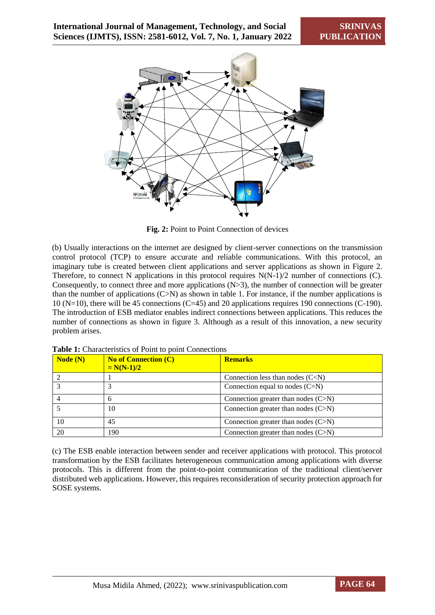

**Fig. 2:** Point to Point Connection of devices

(b) Usually interactions on the internet are designed by client-server connections on the transmission control protocol (TCP) to ensure accurate and reliable communications. With this protocol, an imaginary tube is created between client applications and server applications as shown in Figure 2. Therefore, to connect N applications in this protocol requires N(N-1)/2 number of connections (C). Consequently, to connect three and more applications (N>3), the number of connection will be greater than the number of applications (C>N) as shown in table 1. For instance, if the number applications is 10 (N=10), there will be 45 connections (C=45) and 20 applications requires 190 connections (C-190). The introduction of ESB mediator enables indirect connections between applications. This reduces the number of connections as shown in figure 3. Although as a result of this innovation, a new security problem arises.

| Node(N) | <b>No of Connection (C)</b><br>$= N(N-1)/2$ | <b>Remarks</b>                        |
|---------|---------------------------------------------|---------------------------------------|
|         |                                             | Connection less than nodes $(C < N)$  |
|         |                                             | Connection equal to nodes $(C=N)$     |
|         | h                                           | Connection greater than nodes $(C>M)$ |
|         | 10                                          | Connection greater than nodes $(C>N)$ |
| 10      | 45                                          | Connection greater than nodes $(C>M)$ |
| 20      | 190                                         | Connection greater than nodes (C>N)   |

Table 1: Characteristics of Point to point Connections

(c) The ESB enable interaction between sender and receiver applications with protocol. This protocol transformation by the ESB facilitates heterogeneous communication among applications with diverse protocols. This is different from the point-to-point communication of the traditional client/server distributed web applications. However, this requires reconsideration of security protection approach for SOSE systems.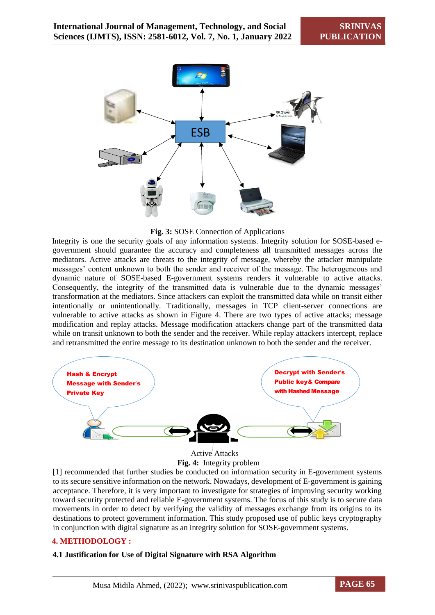

**Fig. 3:** SOSE Connection of Applications

Integrity is one the security goals of any information systems. Integrity solution for SOSE-based egovernment should guarantee the accuracy and completeness all transmitted messages across the mediators. Active attacks are threats to the integrity of message, whereby the attacker manipulate messages' content unknown to both the sender and receiver of the message. The heterogeneous and dynamic nature of SOSE-based E-government systems renders it vulnerable to active attacks. Consequently, the integrity of the transmitted data is vulnerable due to the dynamic messages' transformation at the mediators. Since attackers can exploit the transmitted data while on transit either intentionally or unintentionally. Traditionally, messages in TCP client-server connections are vulnerable to active attacks as shown in Figure 4. There are two types of active attacks; message modification and replay attacks. Message modification attackers change part of the transmitted data while on transit unknown to both the sender and the receiver. While replay attackers intercept, replace and retransmitted the entire message to its destination unknown to both the sender and the receiver.



**Fig. 4:** Integrity problem

[1] recommended that further studies be conducted on information security in E-government systems to its secure sensitive information on the network. Nowadays, development of E-government is gaining acceptance. Therefore, it is very important to investigate for strategies of improving security working toward security protected and reliable E-government systems. The focus of this study is to secure data movements in order to detect by verifying the validity of messages exchange from its origins to its destinations to protect government information. This study proposed use of public keys cryptography in conjunction with digital signature as an integrity solution for SOSE-government systems.

# **4. METHODOLOGY :**

# **4.1 Justification for Use of Digital Signature with RSA Algorithm**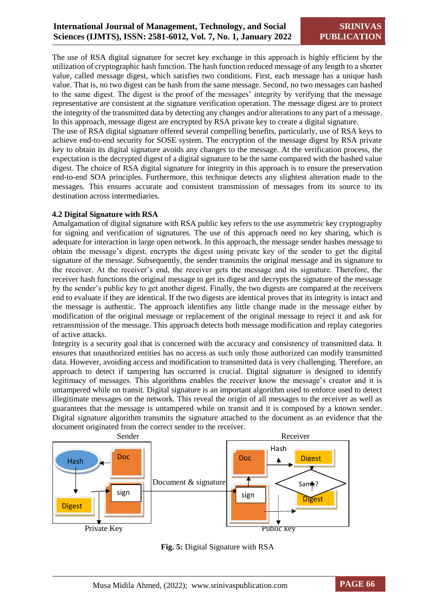The use of RSA digital signature for secret key exchange in this approach is highly efficient by the utilization of cryptographic hash function. The hash function reduced message of any length to a shorter value, called message digest, which satisfies two conditions. First, each message has a unique hash value. That is, no two digest can be hash from the same message. Second, no two messages can hashed to the same digest. The digest is the proof of the messages' integrity by verifying that the message representative are consistent at the signature verification operation. The message digest are to protect the integrity of the transmitted data by detecting any changes and/or alterations to any part of a message. In this approach, message digest are encrypted by RSA private key to create a digital signature.

The use of RSA digital signature offered several compelling benefits, particularly, use of RSA keys to achieve end-to-end security for SOSE system. The encryption of the message digest by RSA private key to obtain its digital signature avoids any changes to the message. At the verification process, the expectation is the decrypted digest of a digital signature to be the same compared with the hashed value digest. The choice of RSA digital signature for integrity in this approach is to ensure the preservation end-to-end SOA principles. Furthermore, this technique detects any slightest alteration made to the messages. This ensures accurate and consistent transmission of messages from its source to its destination across intermediaries.

#### **4.2 Digital Signature with RSA**

Amalgamation of digital signature with RSA public key refers to the use asymmetric key cryptography for signing and verification of signatures. The use of this approach need no key sharing, which is adequate for interaction in large open network. In this approach, the message sender hashes message to obtain the message's digest, encrypts the digest using private key of the sender to get the digital signature of the message. Subsequently, the sender transmits the original message and its signature to the receiver. At the receiver's end, the receiver gets the message and its signature. Therefore, the receiver hash functions the original message to get its digest and decrypts the signature of the message by the sender's public key to get another digest. Finally, the two digests are compared at the receivers end to evaluate if they are identical. If the two digests are identical proves that its integrity is intact and the message is authentic. The approach identifies any little change made in the message either by modification of the original message or replacement of the original message to reject it and ask for retransmission of the message. This approach detects both message modification and replay categories of active attacks.

Integrity is a security goal that is concerned with the accuracy and consistency of transmitted data. It ensures that unauthorized entities has no access as such only those authorized can modify transmitted data. However, avoiding access and modification to transmitted data is very challenging. Therefore, an approach to detect if tampering has occurred is crucial. Digital signature is designed to identify legitimacy of messages. This algorithms enables the receiver know the message's creator and it is untampered while on transit. Digital signature is an important algorithm used to enforce used to detect illegitimate messages on the network. This reveal the origin of all messages to the receiver as well as guarantees that the message is untampered while on transit and it is composed by a known sender. Digital signature algorithm transmits the signature attached to the document as an evidence that the document originated from the correct sender to the receiver.



**Fig. 5:** Digital Signature with RSA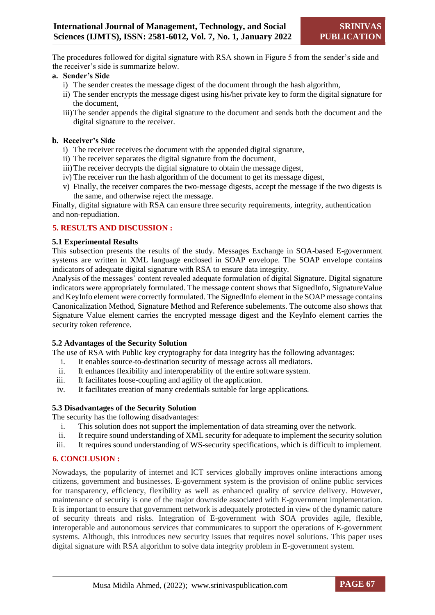The procedures followed for digital signature with RSA shown in Figure 5 from the sender's side and the receiver's side is summarize below.

#### **a. Sender's Side**

- i) The sender creates the message digest of the document through the hash algorithm,
- ii) The sender encrypts the message digest using his/her private key to form the digital signature for the document,
- iii)The sender appends the digital signature to the document and sends both the document and the digital signature to the receiver.

# **b. Receiver's Side**

- i) The receiver receives the document with the appended digital signature,
- ii) The receiver separates the digital signature from the document,
- iii)The receiver decrypts the digital signature to obtain the message digest,
- iv) The receiver run the hash algorithm of the document to get its message digest,
- v) Finally, the receiver compares the two-message digests, accept the message if the two digests is the same, and otherwise reject the message.

Finally, digital signature with RSA can ensure three security requirements, integrity, authentication and non-repudiation.

#### **5. RESULTS AND DISCUSSION :**

#### **5.1 Experimental Results**

This subsection presents the results of the study. Messages Exchange in SOA-based E-government systems are written in XML language enclosed in SOAP envelope. The SOAP envelope contains indicators of adequate digital signature with RSA to ensure data integrity.

Analysis of the messages' content revealed adequate formulation of digital Signature. Digital signature indicators were appropriately formulated. The message content shows that SignedInfo, SignatureValue and KeyInfo element were correctly formulated. The SignedInfo element in the SOAP message contains Canonicalization Method, Signature Method and Reference subelements. The outcome also shows that Signature Value element carries the encrypted message digest and the KeyInfo element carries the security token reference.

# **5.2 Advantages of the Security Solution**

The use of RSA with Public key cryptography for data integrity has the following advantages:

- i. It enables source-to-destination security of message across all mediators.
- ii. It enhances flexibility and interoperability of the entire software system.
- iii. It facilitates loose-coupling and agility of the application.
- iv. It facilitates creation of many credentials suitable for large applications.

#### **5.3 Disadvantages of the Security Solution**

The security has the following disadvantages:

- i. This solution does not support the implementation of data streaming over the network.
- ii. It require sound understanding of XML security for adequate to implement the security solution
- iii. It requires sound understanding of WS-security specifications, which is difficult to implement.

#### **6. CONCLUSION :**

Nowadays, the popularity of internet and ICT services globally improves online interactions among citizens, government and businesses. E-government system is the provision of online public services for transparency, efficiency, flexibility as well as enhanced quality of service delivery. However, maintenance of security is one of the major downside associated with E-government implementation. It is important to ensure that government network is adequately protected in view of the dynamic nature of security threats and risks. Integration of E-government with SOA provides agile, flexible, interoperable and autonomous services that communicates to support the operations of E-government systems. Although, this introduces new security issues that requires novel solutions. This paper uses digital signature with RSA algorithm to solve data integrity problem in E-government system.

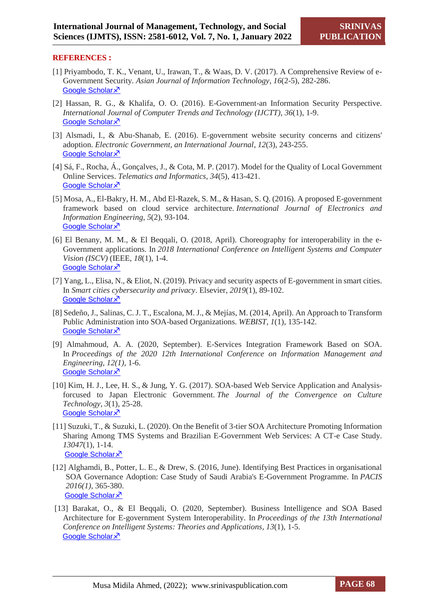#### **REFERENCES :**

- [1] Priyambodo, T. K., Venant, U., Irawan, T., & Waas, D. V. (2017). A Comprehensive Review of e-Government Security. *Asian Journal of Information Technology*, *16*(2-5), 282-286. [Google Scholar](https://scholar.google.com/scholar?hl=en&as_sdt=0%2C5&q=+Priyambodo%2C+T.+K.%2C+Venant%2C+U.%2C+Irawan%2C+T.%2C+%26+Waas%2C+D.+V.+%282017%29.&btnG=) ×<sup>7</sup>
- [2] Hassan, R. G., & Khalifa, O. O. (2016). E-Government-an Information Security Perspective. *International Journal of Computer Trends and Technology (IJCTT)*, *36*(1), 1-9. [Google Scholar](https://scholar.google.com/scholar?hl=en&as_sdt=0%2C5&q=+Hassan%2C+R.+G.%2C+%26+Khalifa%2C+O.+O.+%282016%29.+E-Government-an+Information+Security+Perspective.++International+Journal+of+Computer+Trends+and+Technology+%28IJCTT%29%2C+&btnG=) ×<sup>7</sup>
- [3] Alsmadi, I., & Abu-Shanab, E. (2016). E-government website security concerns and citizens' adoption. *Electronic Government, an International Journal*, *12*(3), 243-255. [Google Scholar](https://scholar.google.com/scholar?hl=en&as_sdt=0%2C5&q=+Alsmadi%2C+I.%2C+%26+Abu-Shanab%2C+E.+%282016%29.+E-government+website+security+concerns+and+citizens%27+adoption.+Electronic+Government%2C+an+International+Journal&btnG=) ×<sup>7</sup>
- [4] Sá, F., Rocha, Á., Gonçalves, J., & Cota, M. P. (2017). Model for the Quality of Local Government Online Services. *Telematics and Informatics*, *34*(5), 413-421. [Google Scholar](https://scholar.google.com/scholar?hl=en&as_sdt=0%2C5&q=+S%C3%A1%2C+F.%2C+Rocha%2C+%C3%81.%2C+Gon%C3%A7alves%2C+J.%2C+%26+Cota%2C+M.+P.+%282017%29.+Model+for+the+Quality+of+Local+Government+Online+Services.+Telematics+and+Informatics%2C+34%285%29%2C+413-421.&btnG=) ×<sup>7</sup>
- [5] Mosa, A., El-Bakry, H. M., Abd El-Razek, S. M., & Hasan, S. Q. (2016). A proposed E-government framework based on cloud service architecture. *International Journal of Electronics and Information Engineering*, *5*(2), 93-104. [Google Scholar](https://scholar.google.com/scholar?hl=en&as_sdt=0%2C5&q=+Mosa%2C+A.%2C+El-Bakry%2C+H.+M.%2C+Abd+El-Razek%2C+S.+M.%2C+%26+Hasan%2C+S.+Q.+%282016%29.+A+proposed+E-government+framework+based+on+cloud+service+architecture.+International+Journal+of+Electronics+and+Information+Engineering%2C+5%282%29%2C+93-104.&btnG=) ×<sup>7</sup>
- [6] El Benany, M. M., & El Beqqali, O. (2018, April). Choreography for interoperability in the e-Government applications. In *2018 International Conference on Intelligent Systems and Computer Vision (ISCV)* (IEEE, *18*(1), 1-4. [Google Scholar](https://scholar.google.com/scholar?hl=en&as_sdt=0%2C5&q=+El+Benany%2C+M.+M.%2C+%26+El+Beqqali%2C+O.+%282018%2C+April%29.+Choreography+for+interoperability+in+the+e-Government+applications.+In+2018+International+Conference+on+Intelligent+Systems+and+Computer+Vision+%28ISCV%29+%28IEEE.+18%281%29%2C+1-4.&btnG=) ×<sup>7</sup>
- [7] Yang, L., Elisa, N., & Eliot, N. (2019). Privacy and security aspects of E-government in smart cities. In *Smart cities cybersecurity and privacy*. Elsevier, *2019*(1), 89-102. [Google Scholar](https://scholar.google.com/scholar?hl=en&as_sdt=0%2C5&q=+Yang%2C+L.%2C+Elisa%2C+N.%2C+%26+Eliot%2C+N.+%282019%29.+Privacy+and+security+aspects+of+E-government+in+smart+cities.+In+Smart+cities+cybersecurity+and+privacy.+Elsevier.+2019%281%29%2C+89-102.&btnG=) X
- [8] Sedeño, J., Salinas, C. J. T., Escalona, M. J., & Mejías, M. (2014, April). An Approach to Transform Public Administration into SOA-based Organizations. *WEBIST, 1*(1), 135-142. [Google Scholar](https://scholar.google.com/scholar?hl=en&as_sdt=0%2C5&q=+Sede%C3%B1o%2C+J.%2C+Salinas%2C+C.+J.+T.%2C+Escalona%2C+M.+J.%2C+%26+Mej%C3%ADas%2C+M.+%282014%2C+April%29.+An+Approach+to+Transform+Public+Administration+into+SOA-based+Organizations.+In+WEBIST+%281%29%2C+135-142&btnG=) X<sup>7</sup>
- [9] Almahmoud, A. A. (2020, September). E-Services Integration Framework Based on SOA. In *Proceedings of the 2020 12th International Conference on Information Management and Engineering, 12(1),* 1-6. [Google Scholar](https://scholar.google.com/scholar?hl=en&as_sdt=0%2C5&q=Almahmoud%2C+A.+A.+%282020%2C+September%29.+E-Services+Integration+Framework+Based+on+SOA.+In+Proceedings+of+the+2020+12th+International+Conference+on+Information+Management+and+Engineering%2C&btnG=) ×<sup>7</sup>
- [10] Kim, H. J., Lee, H. S., & Jung, Y. G. (2017). SOA-based Web Service Application and Analysisforcused to Japan Electronic Government. *The Journal of the Convergence on Culture Technology*, *3*(1), 25-28. [Google Scholar](https://scholar.google.com/scholar?hl=en&as_sdt=0%2C5&q=Kim%2C+H.+J.%2C+Lee%2C+H.+S.%2C+%26+Jung%2C+Y.+G.+%282017%29.+SOA-based+Web+Service+Application+and+Analysis-forcused+to+Japan+Electronic+Government.+The+Journal+of+the+Convergence+on+Culture+Technology&btnG=) ×
- [11] Suzuki, T., & Suzuki, L. (2020). On the Benefit of 3-tier SOA Architecture Promoting Information Sharing Among TMS Systems and Brazilian E-Government Web Services: A CT-e Case Study. *13047*(1), 1-14. [Google Scholar](https://scholar.google.com/scholar?hl=en&as_sdt=0%2C5&q=Suzuki%2C+T.%2C+%26+Suzuki%2C+L.+%282020%29.+On+the+Benefit+of+3-tier+SOA+Architecture+Promoting+Information+Sharing+Among+TMS+Systems+and+Brazilian+E-Government+Web+Services%3A+A+CT-e+Case+Study&btnG=) ×<sup>7</sup>
- [12] Alghamdi, B., Potter, L. E., & Drew, S. (2016, June). Identifying Best Practices in organisational SOA Governance Adoption: Case Study of Saudi Arabia's E-Government Programme. In *PACIS 2016(1)*, 365-380. [Google Scholar](https://scholar.google.com/scholar?hl=en&as_sdt=0%2C5&q=Alghamdi%2C+B.%2C+Potter%2C+L.+E.%2C+%26+Drew%2C+S.+%282016%2C+June%29.+Identifying+Best+Practices+in+organisational+SOA+Governance+Adoption%3A+Case+Study+of+Saudi+Arabia%27s+E-Government+Programme.+In+PACIS+&btnG=) ×<sup>7</sup>
- [13] Barakat, O., & El Beqqali, O. (2020, September). Business Intelligence and SOA Based Architecture for E-government System Interoperability. In *Proceedings of the 13th International Conference on Intelligent Systems: Theories and Applications, 13*(1), 1-5. [Google Scholar](https://scholar.google.com/scholar?hl=en&as_sdt=0%2C5&q=Barakat%2C+O.%2C+%26+El+Beqqali%2C+O.+%282020%2C+September%29.+Business+Intelligence+and+SOA+Based+Architecture+for+E-government+System+Interoperability.+In+Proceedings+of+the+13th+International+Conference+on+Intelligent+Systems%3A+Theories+and+Applications+&btnG=) ×<sup>7</sup>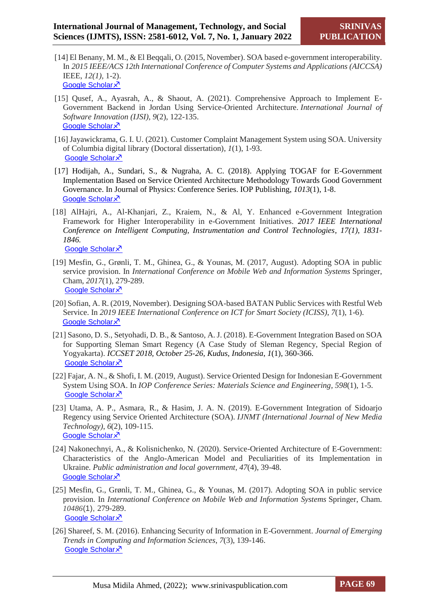- [14] El Benany, M. M., & El Beqqali, O. (2015, November). SOA based e-government interoperability. In *2015 IEEE/ACS 12th International Conference of Computer Systems and Applications (AICCSA)*  IEEE, *12(1),* 1-2). **[Google Scholar](https://scholar.google.com/scholar?hl=en&as_sdt=0%2C5&q=SOA+based+e-government+interoperability.+In+2015+IEEE%2FACS+12th+International+Conference+of+Computer+Systems+and+Applications+%28AICCSA%29+IEEE.+&btnG=) X**
- [15] Qusef, A., Ayasrah, A., & Shaout, A. (2021). Comprehensive Approach to Implement E-Government Backend in Jordan Using Service-Oriented Architecture. *International Journal of Software Innovation (IJSI)*, *9*(2), 122-135. [Google Scholar](https://scholar.google.com/scholar?hl=en&as_sdt=0%2C5&q=Qusef%2C+A.%2C+Ayasrah%2C+A.%2C+%26+Shaout%2C+A.+%282021%29.+Comprehensive+Approach+to+Implement+E-Government+Backend+in+Jordan+Using+Service-Oriented+Architecture.+International+Journal+of+Software+Innovation+&btnG=) X
- [16] Jayawickrama, G. I. U. (2021). Customer Complaint Management System using SOA. University of Columbia digital library (Doctoral dissertation), *1*(1), 1-93. [Google Scholar](https://scholar.google.com/scholar?hl=en&as_sdt=0%2C5&q=+Jayawickrama%2C+G.+I.+U.+%282021%29.&btnG=) X<sup>7</sup>
- [17] Hodijah, A., Sundari, S., & Nugraha, A. C. (2018). Applying TOGAF for E-Government Implementation Based on Service Oriented Architecture Methodology Towards Good Government Governance. In Journal of Physics: Conference Series. IOP Publishing, *1013*(1), 1-8. [Google Scholar](https://scholar.google.com/scholar?hl=en&as_sdt=0%2C5&q=+Hodijah%2C+A.%2C+Sundari%2C+S.%2C+%26+Nugraha%2C+A.+C.+%282018%29.+Applying+TOGAF+for+E-Government+Implementation+Based+on+Service+Oriented+Architecture+Methodology+Towards+Good+Government+Governance.+In+Journal+of+Physics%3A+Conference+Series.+IOP+Publishing.+&btnG=) ×<sup>7</sup>
- [18] AlHajri, A., Al-Khanjari, Z., Kraiem, N., & Al, Y. Enhanced e-Government Integration Framework for Higher Interoperability in e-Government Initiatives. *2017 IEEE International Conference on Intelligent Computing, Instrumentation and Control Technologies, 17(1), 1831- 1846.* [Google Scholar](https://www.researchgate.net/profile/Zuhoor-Al-Khanjari/publication/319006490_Enhanced_e-Government_Integration_Framework_for_Higher_Interoperability_in_e-Government_Initiatives/links/598ab303aca272435853fece/Enhanced-e-Government-Integration-Framework-for-Higher-Interoperability-in-e-Government-Initiatives.pdf) ×
- [19] Mesfin, G., Grønli, T. M., Ghinea, G., & Younas, M. (2017, August). Adopting SOA in public service provision. In *International Conference on Mobile Web and Information Systems* Springer, Cham, *2017*(1), 279-289. [Google Scholar](https://bura.brunel.ac.uk/bitstream/2438/15211/1/Adopting%20SOA%20in%20public%20service%20provision.pdf) ×<sup>7</sup>
- [20] Sofian, A. R. (2019, November). Designing SOA-based BATAN Public Services with Restful Web Service. In *2019 IEEE International Conference on ICT for Smart Society (ICISS)*, *7*(1), 1-6). [Google Scholar](https://scholar.google.com/scholar?hl=en&as_sdt=0%2C5&q=Sofian%2C+Design+SOA-based+BATAN+public+services+with+RESTFUL+web+services&btnG=) ×<sup>7</sup>
- [21] Sasono, D. S., Setyohadi, D. B., & Santoso, A. J. (2018). E-Government Integration Based on SOA for Supporting Sleman Smart Regency (A Case Study of Sleman Regency, Special Region of Yogyakarta). *ICCSET 2018, October 25-26, Kudus, Indonesia*, *1*(1), 360-366. [Google Scholar](https://www.researchgate.net/profile/Djoko-Setyohadi-2/publication/330782911_E-Government_Integration_Based_on_SOA_for_Supporting_Sleman_Smart_Regency_A_Case_Study_of_Sleman_Regency_Special_Region_of_Yogyakarta/links/5c884f0a45851564fad9c6a9/E-Government-Integration-Based-on-SOA-for-Supporting-Sleman-Smart-Regency-A-Case-Study-of-Sleman-Regency-Special-Region-of-Yogyakarta.pdf) ×<sup>7</sup>
- [22] Fajar, A. N., & Shofi, I. M. (2019, August). Service Oriented Design for Indonesian E-Government System Using SOA. In *IOP Conference Series: Materials Science and Engineering, 598*(1), 1-5. [Google Scholar](https://iopscience.iop.org/article/10.1088/1757-899X/598/1/012106/pdf) X
- [23] Utama, A. P., Asmara, R., & Hasim, J. A. N. (2019). E-Government Integration of Sidoarjo Regency using Service Oriented Architecture (SOA). *IJNMT (International Journal of New Media Technology)*, *6*(2), 109-115. [Google Scholar](https://scholar.google.com/scholar?hl=en&as_sdt=0%2C5&q=E-Government+Integration+of+Sidoarjo+Regency+using+Service+Oriented+Architecture+%28SOA%29+&btnG=) ×<sup>7</sup>
- [24] Nakonechnyi, A., & Kolisnichenko, N. (2020). Service-Oriented Architecture of E-Government: Characteristics of the Anglo-American Model and Peculiarities of its Implementation in Ukraine. *Public administration and local government*, *47*(4), 39-48. [Google Scholar](https://grani-print.dp.ua/index.php/dridu/article/view/446) ×<sup>7</sup>
- [25] Mesfin, G., Grønli, T. M., Ghinea, G., & Younas, M. (2017). Adopting SOA in public service provision. In *International Conference on Mobile Web and Information Systems* Springer, Cham. *10486*(1), 279-289. [Google Scholar](https://scholar.google.com/scholar?hl=en&as_sdt=0%2C5&q=Adopting+SOA+in+public+Service+provision&btnG=) ×<sup>7</sup>
- [26] Shareef, S. M. (2016). Enhancing Security of Information in E-Government. *Journal of Emerging Trends in Computing and Information Sciences*, *7*(3), 139-146. [Google Scholar](https://scholar.google.com/scholar?hl=en&as_sdt=0%2C5&q=+Shareef%2C+S.+M.+%282016%29.+Enhancing+Security+of+Information+in+E-Government.+Journal+of+Emerging+Trends+in+Computing+and+Information+Sciences%2C+&btnG=) ×